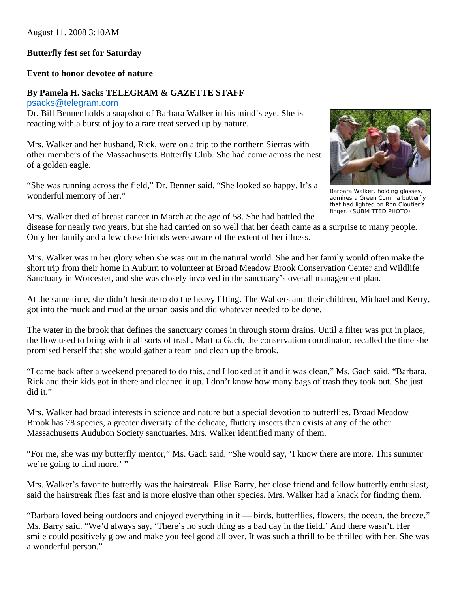## August 11. 2008 3:10AM

## **Butterfly fest set for Saturday**

## **Event to honor devotee of nature**

## **By Pamela H. Sacks TELEGRAM & GAZETTE STAFF**

[psacks@telegram.com](http://webmaila.juno.com/webmail/new/8?folder=Inbox&msgNum=00001JW0:0018eBtP00002mCH&block=1&msgNature=all&msgStatus=all&count=1219018374&content=central##)

Dr. Bill Benner holds a snapshot of Barbara Walker in his mind's eye. She is reacting with a burst of joy to a rare treat served up by nature.

Mrs. Walker and her husband, Rick, were on a trip to the northern Sierras with other members of the Massachusetts Butterfly Club. She had come across the nest of a golden eagle.

"She was running across the field," Dr. Benner said. "She looked so happy. It's a wonderful memory of her."



Barbara Walker, holding glasses, admires a Green Comma butterfly that had lighted on Ron Cloutier's finger. (SUBMITTED PHOTO)

Mrs. Walker died of breast cancer in March at the age of 58. She had battled the

disease for nearly two years, but she had carried on so well that her death came as a surprise to many people. Only her family and a few close friends were aware of the extent of her illness.

Mrs. Walker was in her glory when she was out in the natural world. She and her family would often make the short trip from their home in Auburn to volunteer at Broad Meadow Brook Conservation Center and Wildlife Sanctuary in Worcester, and she was closely involved in the sanctuary's overall management plan.

At the same time, she didn't hesitate to do the heavy lifting. The Walkers and their children, Michael and Kerry, got into the muck and mud at the urban oasis and did whatever needed to be done.

The water in the brook that defines the sanctuary comes in through storm drains. Until a filter was put in place, the flow used to bring with it all sorts of trash. Martha Gach, the conservation coordinator, recalled the time she promised herself that she would gather a team and clean up the brook.

"I came back after a weekend prepared to do this, and I looked at it and it was clean," Ms. Gach said. "Barbara, Rick and their kids got in there and cleaned it up. I don't know how many bags of trash they took out. She just did it."

Mrs. Walker had broad interests in science and nature but a special devotion to butterflies. Broad Meadow Brook has 78 species, a greater diversity of the delicate, fluttery insects than exists at any of the other Massachusetts Audubon Society sanctuaries. Mrs. Walker identified many of them.

"For me, she was my butterfly mentor," Ms. Gach said. "She would say, 'I know there are more. This summer we're going to find more.' "

Mrs. Walker's favorite butterfly was the hairstreak. Elise Barry, her close friend and fellow butterfly enthusiast, said the hairstreak flies fast and is more elusive than other species. Mrs. Walker had a knack for finding them.

"Barbara loved being outdoors and enjoyed everything in it — birds, butterflies, flowers, the ocean, the breeze," Ms. Barry said. "We'd always say, 'There's no such thing as a bad day in the field.' And there wasn't. Her smile could positively glow and make you feel good all over. It was such a thrill to be thrilled with her. She was a wonderful person."